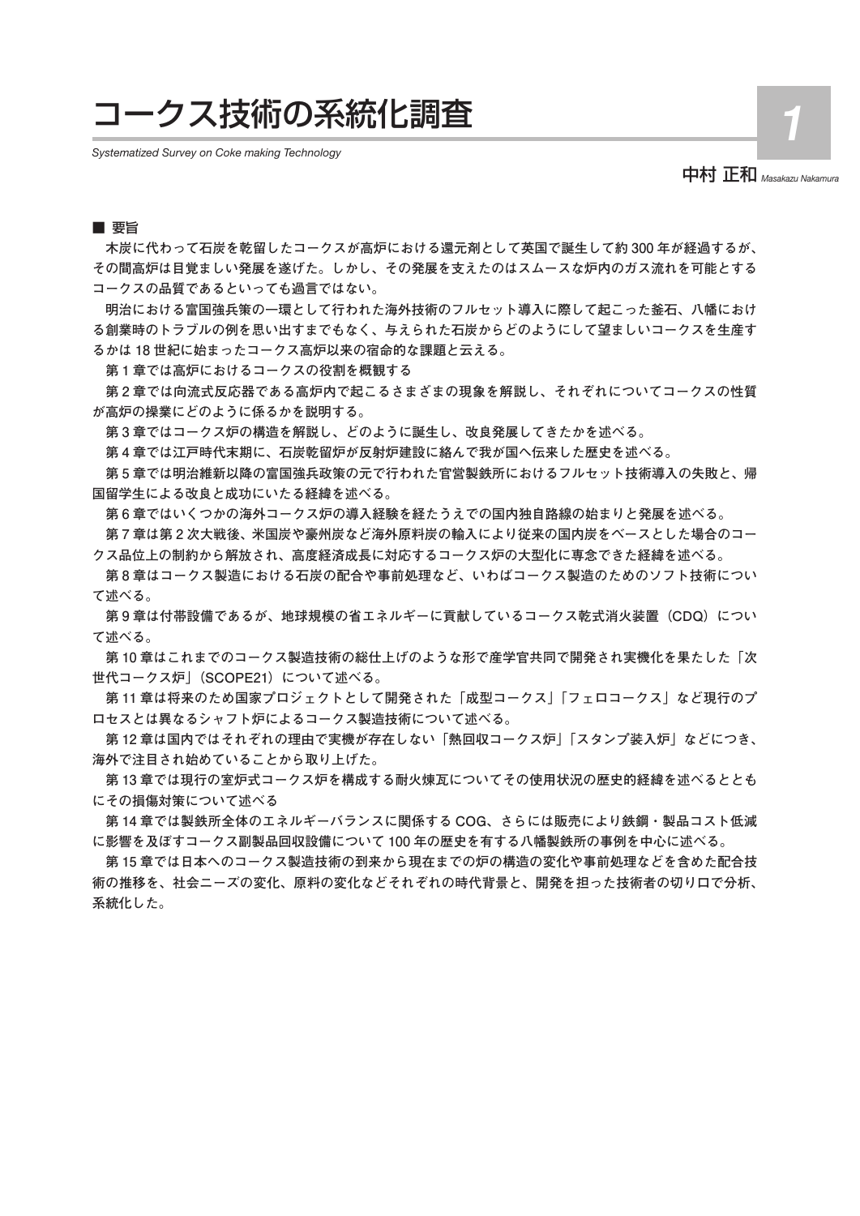# コークス技術の系統化調査

*Systematized Survey on Coke making Technology*

中村 正和 *Masakazu Nakamura*

1

## ■ 要旨

**木炭に代わって石炭を乾留したコークスが高炉における還元剤として英国で誕生して約 300 年が経過するが、 その間高炉は目覚ましい発展を遂げた。しかし、その発展を支えたのはスムースな炉内のガス流れを可能とする コークスの品質であるといっても過言ではない。**

**明治における富国強兵策の一環として行われた海外技術のフルセット導入に際して起こった釜石、八幡におけ る創業時のトラブルの例を思い出すまでもなく、与えられた石炭からどのようにして望ましいコークスを生産す るかは 18 世紀に始まったコークス高炉以来の宿命的な課題と云える。**

**第 1 章では高炉におけるコークスの役割を概観する**

**第 2 章では向流式反応器である高炉内で起こるさまざまの現象を解説し、それぞれについてコークスの性質 が高炉の操業にどのように係るかを説明する。**

**第 3 章ではコークス炉の構造を解説し、どのように誕生し、改良発展してきたかを述べる。**

**第 4 章では江戸時代末期に、石炭乾留炉が反射炉建設に絡んで我が国へ伝来した歴史を述べる。**

**第 5 章では明治維新以降の富国強兵政策の元で行われた官営製鉄所におけるフルセット技術導入の失敗と、帰 国留学生による改良と成功にいたる経緯を述べる。**

**第 6 章ではいくつかの海外コークス炉の導入経験を経たうえでの国内独自路線の始まりと発展を述べる。 第 7 章は第 2 次大戦後、米国炭や豪州炭など海外原料炭の輸入により従来の国内炭をベースとした場合のコー**

**クス品位上の制約から解放され、高度経済成長に対応するコークス炉の大型化に専念できた経緯を述べる。 第 8 章はコークス製造における石炭の配合や事前処理など、いわばコークス製造のためのソフト技術につい て述べる。**

**第 9 章は付帯設備であるが、地球規模の省エネルギーに貢献しているコークス乾式消火装置(CDQ)につい て述べる。**

**第 10 章はこれまでのコークス製造技術の総仕上げのような形で産学官共同で開発され実機化を果たした「次 世代コークス炉」(SCOPE21)について述べる。**

**第 11 章は将来のため国家プロジェクトとして開発された「成型コークス」「フェロコークス」など現行のプ ロセスとは異なるシャフト炉によるコークス製造技術について述べる。**

**第 12 章は国内ではそれぞれの理由で実機が存在しない「熱回収コークス炉」「スタンプ装入炉」などにつき、 海外で注目され始めていることから取り上げた。**

**第 13 章では現行の室炉式コークス炉を構成する耐火煉瓦についてその使用状況の歴史的経緯を述べるととも にその損傷対策について述べる**

**第 14 章では製鉄所全体のエネルギーバランスに関係する COG、さらには販売により鉄鋼・製品コスト低減 に影響を及ぼすコークス副製品回収設備について 100 年の歴史を有する八幡製鉄所の事例を中心に述べる。**

**第 15 章では日本へのコークス製造技術の到来から現在までの炉の構造の変化や事前処理などを含めた配合技 術の推移を、社会ニーズの変化、原料の変化などそれぞれの時代背景と、開発を担った技術者の切り口で分析、 系統化した。**